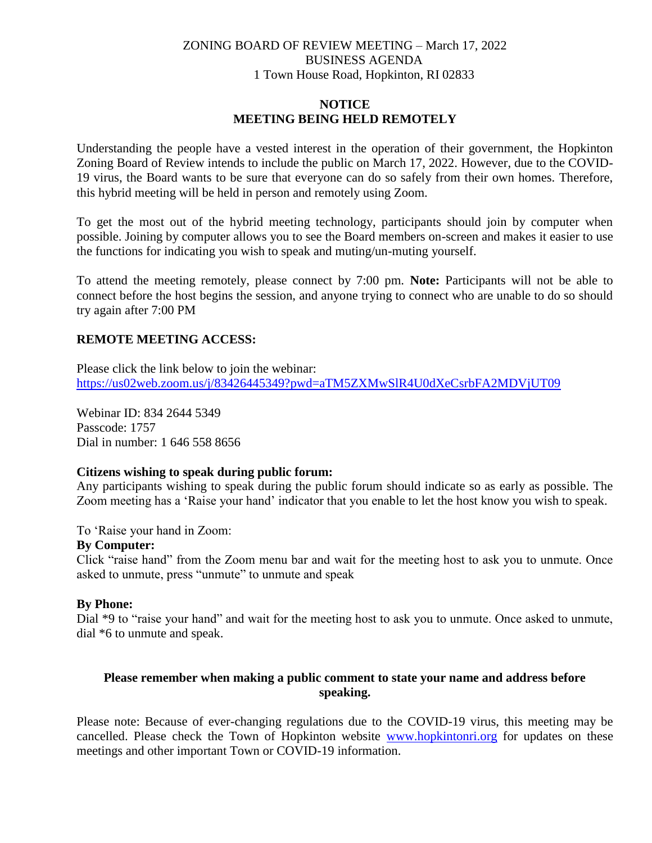# ZONING BOARD OF REVIEW MEETING – March 17, 2022 BUSINESS AGENDA 1 Town House Road, Hopkinton, RI 02833

## **NOTICE MEETING BEING HELD REMOTELY**

Understanding the people have a vested interest in the operation of their government, the Hopkinton Zoning Board of Review intends to include the public on March 17, 2022. However, due to the COVID-19 virus, the Board wants to be sure that everyone can do so safely from their own homes. Therefore, this hybrid meeting will be held in person and remotely using Zoom.

To get the most out of the hybrid meeting technology, participants should join by computer when possible. Joining by computer allows you to see the Board members on-screen and makes it easier to use the functions for indicating you wish to speak and muting/un-muting yourself.

To attend the meeting remotely, please connect by 7:00 pm. **Note:** Participants will not be able to connect before the host begins the session, and anyone trying to connect who are unable to do so should try again after 7:00 PM

## **REMOTE MEETING ACCESS:**

Please click the link below to join the webinar: <https://us02web.zoom.us/j/83426445349?pwd=aTM5ZXMwSlR4U0dXeCsrbFA2MDVjUT09>

Webinar ID: 834 2644 5349 Passcode: 1757 Dial in number: 1 646 558 8656

#### **Citizens wishing to speak during public forum:**

Any participants wishing to speak during the public forum should indicate so as early as possible. The Zoom meeting has a 'Raise your hand' indicator that you enable to let the host know you wish to speak.

To 'Raise your hand in Zoom:

#### **By Computer:**

Click "raise hand" from the Zoom menu bar and wait for the meeting host to ask you to unmute. Once asked to unmute, press "unmute" to unmute and speak

#### **By Phone:**

Dial \*9 to "raise your hand" and wait for the meeting host to ask you to unmute. Once asked to unmute, dial \*6 to unmute and speak.

## **Please remember when making a public comment to state your name and address before speaking.**

Please note: Because of ever-changing regulations due to the COVID-19 virus, this meeting may be cancelled. Please check the Town of Hopkinton website [www.hopkintonri.org](http://www.hopkintonri.org/) for updates on these meetings and other important Town or COVID-19 information.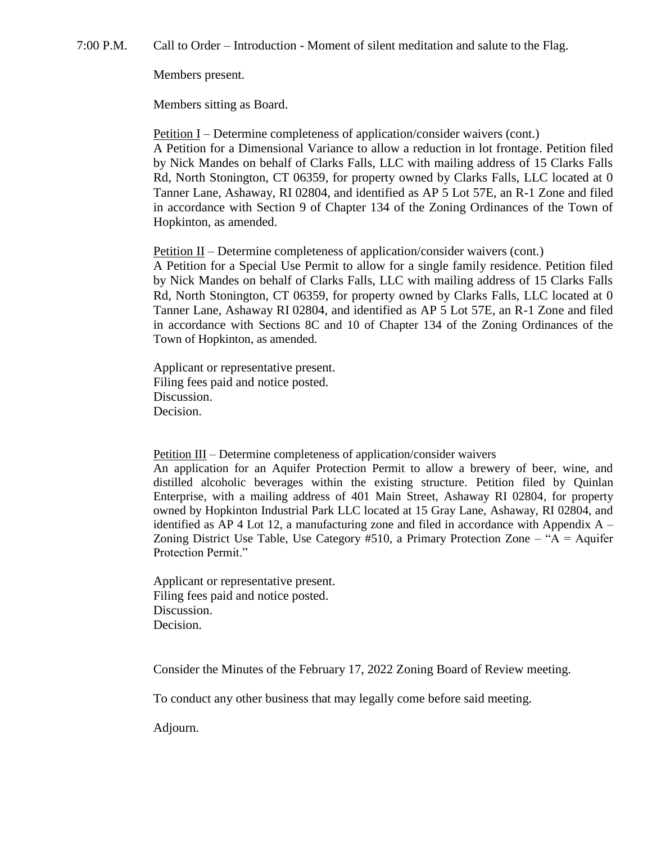7:00 P.M. Call to Order – Introduction - Moment of silent meditation and salute to the Flag.

Members present.

Members sitting as Board.

Petition I – Determine completeness of application/consider waivers (cont.)

A Petition for a Dimensional Variance to allow a reduction in lot frontage. Petition filed by Nick Mandes on behalf of Clarks Falls, LLC with mailing address of 15 Clarks Falls Rd, North Stonington, CT 06359, for property owned by Clarks Falls, LLC located at 0 Tanner Lane, Ashaway, RI 02804, and identified as AP 5 Lot 57E, an R-1 Zone and filed in accordance with Section 9 of Chapter 134 of the Zoning Ordinances of the Town of Hopkinton, as amended.

Petition  $II$  – Determine completeness of application/consider waivers (cont.)

A Petition for a Special Use Permit to allow for a single family residence. Petition filed by Nick Mandes on behalf of Clarks Falls, LLC with mailing address of 15 Clarks Falls Rd, North Stonington, CT 06359, for property owned by Clarks Falls, LLC located at 0 Tanner Lane, Ashaway RI 02804, and identified as AP 5 Lot 57E, an R-1 Zone and filed in accordance with Sections 8C and 10 of Chapter 134 of the Zoning Ordinances of the Town of Hopkinton, as amended.

Applicant or representative present. Filing fees paid and notice posted. Discussion. Decision.

Petition III – Determine completeness of application/consider waivers

An application for an Aquifer Protection Permit to allow a brewery of beer, wine, and distilled alcoholic beverages within the existing structure. Petition filed by Quinlan Enterprise, with a mailing address of 401 Main Street, Ashaway RI 02804, for property owned by Hopkinton Industrial Park LLC located at 15 Gray Lane, Ashaway, RI 02804, and identified as  $AP$  4 Lot 12, a manufacturing zone and filed in accordance with Appendix  $A -$ Zoning District Use Table, Use Category #510, a Primary Protection Zone – "A = Aquifer Protection Permit."

Applicant or representative present. Filing fees paid and notice posted. Discussion. Decision.

Consider the Minutes of the February 17, 2022 Zoning Board of Review meeting.

To conduct any other business that may legally come before said meeting.

Adjourn.